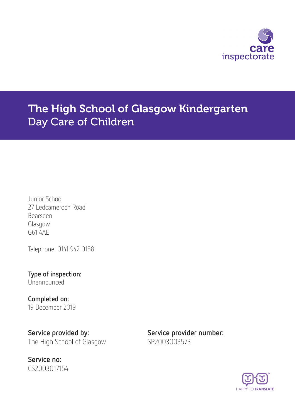

# The High School of Glasgow Kindergarten Day Care of Children

Junior School 27 Ledcameroch Road Bearsden Glasgow G61 4AE

Telephone: 0141 942 0158

Type of inspection: Unannounced

Completed on: 19 December 2019

Service provided by: Service provider number: The High School of Glasgow SP2003003573

Service no: CS2003017154

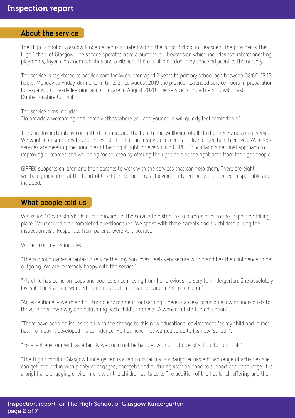#### About the service

The High School of Glasgow Kindergarten is situated within the Junior School in Bearsden. The provider is The High School of Glasgow. The service operates from a purpose built extension which includes five interconnecting playrooms, foyer, cloakroom facilities and a kitchen. There is also outdoor play space adjacent to the nursery.

The service is registered to provide care for 44 children aged 3 years to primary school age between 08:00-15:15 hours, Monday to Friday, during term time. Since August 2019 the provider extended service hours in preparation for expansion of early learning and childcare in August 2020. The service is in partnership with East Dunbartonshire Council.

The service aims include:

"To provide a welcoming and homely ethos where you and your child will quickly feel comfortable".

The Care Inspectorate is committed to improving the health and wellbeing of all children receiving a care service. We want to ensure they have the best start in life, are ready to succeed and live longer, healthier lives. We check services are meeting the principles of Getting it right for every child (GIRFEC); Scotland's national approach to improving outcomes and wellbeing for children by offering the right help at the right time from the right people.

GIRFEC supports children and their parents to work with the services that can help them. There are eight wellbeing indicators at the heart of GIRFEC: safe, healthy, achieving, nurtured, active, respected, responsible and included.

#### What people told us

We issued 10 care standards questionnaires to the service to distribute to parents prior to the inspection taking place. We received nine completed questionnaires. We spoke with three parents and six children during the inspection visit. Responses from parents were very positive.

Written comments included:

"The school provides a fantastic service that my son loves, feels very secure within and has the confidence to be outgoing. We are extremely happy with the service".

"My child has come on leaps and bounds since moving from her previous nursery to kindergarten. She absolutely loves it. The staff are wonderful and it is such a brilliant environment for children".

"An exceptionally warm and nurturing environment for learning. There is a clear focus on allowing individuals to thrive in their own way and cultivating each child's interests. A wonderful start in education".

"There have been no issues at all with the change to this new educational environment for my child and in fact has, from day 1, developed his confidence. He has never not wanted to go to his new 'school'".

"Excellent environment, as a family we could not be happier with our choice of school for our child".

"The High School of Glasgow Kindergarten is a fabulous facility. My daughter has a broad range of activities she can get involved in with plenty of engaged, energetic and nurturing staff on hand to support and encourage. It is a bright and engaging environment with the children at its core. The addition of the hot lunch offering and the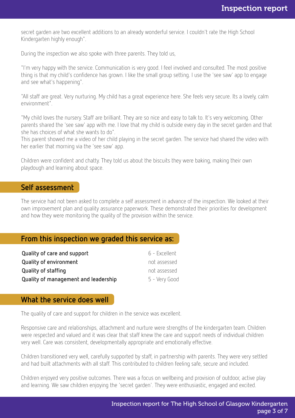secret garden are two excellent additions to an already wonderful service. I couldn't rate the High School Kindergarten highly enough".

During the inspection we also spoke with three parents. They told us,

"I'm very happy with the service. Communication is very good. I feel involved and consulted. The most positive thing is that my child's confidence has grown. I like the small group setting. I use the 'see saw' app to engage and see what's happening".

"All staff are great. Very nurturing. My child has a great experience here. She feels very secure. Its a lovely, calm environment".

"My child loves the nursery. Staff are brilliant. They are so nice and easy to talk to. It's very welcoming. Other parents shared the 'see saw' app with me. I love that my child is outside every day in the secret garden and that she has choices of what she wants to do".

This parent showed me a video of her child playing in the secret garden. The service had shared the video with her earlier that morning via the 'see saw' app.

Children were confident and chatty. They told us about the biscuits they were baking, making their own playdough and learning about space.

#### Self assessment

The service had not been asked to complete a self assessment in advance of the inspection. We looked at their own improvement plan and quality assurance paperwork. These demonstrated their priorities for development and how they were monitoring the quality of the provision within the service.

#### From this inspection we graded this service as:

| Quality of care and support          | 6 - Excellent |
|--------------------------------------|---------------|
| <b>Quality of environment</b>        | not assessed  |
| Quality of staffing                  | not assessed  |
| Quality of management and leadership | 5 - Very Good |

#### What the service does well

The quality of care and support for children in the service was excellent.

Responsive care and relationships, attachment and nurture were strengths of the kindergarten team. Children were respected and valued and it was clear that staff knew the care and support needs of individual children very well. Care was consistent, developmentally appropriate and emotionally effective.

Children transitioned very well, carefully supported by staff, in partnership with parents. They were very settled and had built attachments with all staff. This contributed to children feeling safe, secure and included.

Children enjoyed very positive outcomes. There was a focus on wellbeing and provision of outdoor, active play and learning. We saw children enjoying the 'secret garden'. They were enthusiastic, engaged and excited.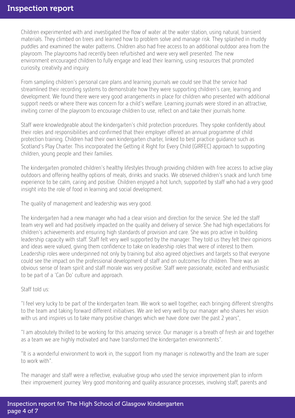#### Inspection report

Children experimented with and investigated the flow of water at the water station, using natural, transient materials. They climbed on trees and learned how to problem solve and manage risk. They splashed in muddy puddles and examined the water patterns. Children also had free access to an additional outdoor area from the playroom. The playrooms had recently been refurbished and were very well presented. The new environment encouraged children to fully engage and lead their learning, using resources that promoted curiosity, creativity and inquiry.

From sampling children's personal care plans and learning journals we could see that the service had streamlined their recording systems to demonstrate how they were supporting children's care, learning and development. We found there were very good arrangements in place for children who presented with additional support needs or where there was concern for a child's welfare. Learning journals were stored in an attractive, inviting corner of the playroom to encourage children to use, reflect on and take their journals home.

Staff were knowledgeable about the kindergarten's child protection procedures. They spoke confidently about their roles and responsibilities and confirmed that their employer offered an annual programme of child protection training. Children had their own kindergarten charter, linked to best practice guidance such as Scotland's Play Charter. This incorporated the Getting it Right for Every Child (GIRFEC) approach to supporting children, young people and their families.

The kindergarten promoted children's healthy lifestyles through providing children with free access to active play outdoors and offering healthy options of meals, drinks and snacks. We observed children's snack and lunch time experience to be calm, caring and positive. Children enjoyed a hot lunch, supported by staff who had a very good insight into the role of food in learning and social development.

The quality of management and leadership was very good.

The kindergarten had a new manager who had a clear vision and direction for the service. She led the staff team very well and had positively impacted on the quality and delivery of service. She had high expectations for children's achievements and ensuring high standards of provision and care. She was pro active in building leadership capacity with staff. Staff felt very well supported by the manager. They told us they felt their opinions and ideas were valued, giving them confidence to take on leadership roles that were of interest to them. Leadership roles were underpinned not only by training but also agreed objectives and targets so that everyone could see the impact on the professional development of staff and on outcomes for children. There was an obvious sense of team spirit and staff morale was very positive. Staff were passionate, excited and enthusiastic to be part of a 'Can Do' culture and approach.

#### Staff told us:

"I feel very lucky to be part of the kindergarten team. We work so well together, each bringing different strengths to the team and taking forward different initiatives. We are led very well by our manager who shares her vision with us and inspires us to take many positive changes which we have done over the past 2 years",

"I am absolutely thrilled to be working for this amazing service. Our manager is a breath of fresh air and together as a team we are highly motivated and have transformed the kindergarten environments".

"It is a wonderful environment to work in, the support from my manager is noteworthy and the team are super to work with".

The manager and staff were a reflective, evaluative group who used the service improvement plan to inform their improvement journey. Very good monitoring and quality assurance processes, involving staff, parents and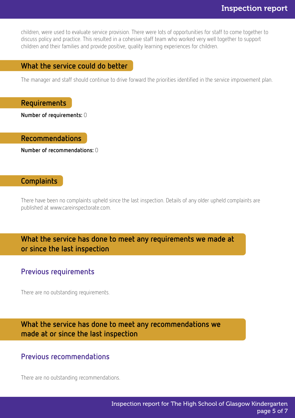children, were used to evaluate service provision. There were lots of opportunities for staff to come together to discuss policy and practice. This resulted in a cohesive staff team who worked very well together to support children and their families and provide positive, quality learning experiences for children.

#### What the service could do better

The manager and staff should continue to drive forward the priorities identified in the service improvement plan.

#### Requirements

Number of requirements: 0

#### Recommendations

Number of recommendations: 0

#### Complaints

There have been no complaints upheld since the last inspection. Details of any older upheld complaints are published at www.careinspectorate.com.

What the service has done to meet any requirements we made at or since the last inspection

#### Previous requirements

There are no outstanding requirements.

What the service has done to meet any recommendations we made at or since the last inspection

#### Previous recommendations

There are no outstanding recommendations.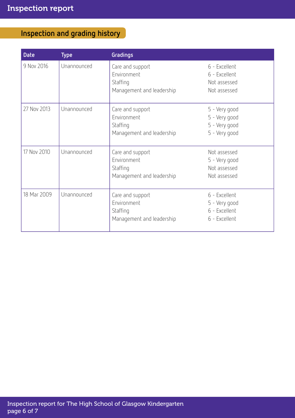## Inspection and grading history

| <b>Date</b> | <b>Type</b> | Gradings                                                                 |                                                                  |
|-------------|-------------|--------------------------------------------------------------------------|------------------------------------------------------------------|
| 9 Nov 2016  | Unannounced | Care and support<br>Environment<br>Staffing<br>Management and leadership | 6 - Excellent<br>6 - Excellent<br>Not assessed<br>Not assessed   |
| 27 Nov 2013 | Unannounced | Care and support<br>Environment<br>Staffing<br>Management and leadership | 5 - Very good<br>5 - Very good<br>5 - Very good<br>5 - Very good |
| 17 Nov 2010 | Unannounced | Care and support<br>Environment<br>Staffing<br>Management and leadership | Not assessed<br>5 - Very good<br>Not assessed<br>Not assessed    |
| 18 Mar 2009 | Unannounced | Care and support<br>Environment<br>Staffing<br>Management and leadership | 6 - Excellent<br>5 - Very good<br>6 - Excellent<br>6 - Excellent |